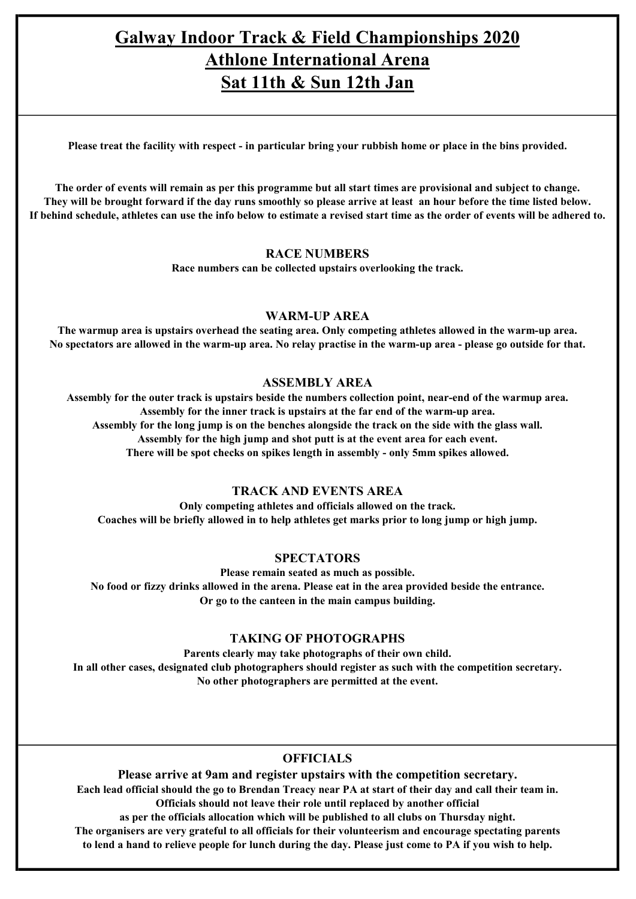# Galway Indoor Track & Field Championships 2020 Athlone International Arena Sat 11th & Sun 12th Jan

Please treat the facility with respect - in particular bring your rubbish home or place in the bins provided.

The order of events will remain as per this programme but all start times are provisional and subject to change. They will be brought forward if the day runs smoothly so please arrive at least an hour before the time listed below. If behind schedule, athletes can use the info below to estimate a revised start time as the order of events will be adhered to.

## RACE NUMBERS

Race numbers can be collected upstairs overlooking the track.

# WARM-UP AREA

The warmup area is upstairs overhead the seating area. Only competing athletes allowed in the warm-up area. No spectators are allowed in the warm-up area. No relay practise in the warm-up area - please go outside for that.

# ASSEMBLY AREA

Assembly for the outer track is upstairs beside the numbers collection point, near-end of the warmup area. Assembly for the inner track is upstairs at the far end of the warm-up area. Assembly for the long jump is on the benches alongside the track on the side with the glass wall. Assembly for the high jump and shot putt is at the event area for each event. There will be spot checks on spikes length in assembly - only 5mm spikes allowed.

# TRACK AND EVENTS AREA

Only competing athletes and officials allowed on the track. Coaches will be briefly allowed in to help athletes get marks prior to long jump or high jump.

#### **SPECTATORS**

Please remain seated as much as possible. No food or fizzy drinks allowed in the arena. Please eat in the area provided beside the entrance. Or go to the canteen in the main campus building.

# TAKING OF PHOTOGRAPHS

Parents clearly may take photographs of their own child. In all other cases, designated club photographers should register as such with the competition secretary. No other photographers are permitted at the event.

# **OFFICIALS**

Please arrive at 9am and register upstairs with the competition secretary. Each lead official should the go to Brendan Treacy near PA at start of their day and call their team in. Officials should not leave their role until replaced by another official as per the officials allocation which will be published to all clubs on Thursday night.

The organisers are very grateful to all officials for their volunteerism and encourage spectating parents to lend a hand to relieve people for lunch during the day. Please just come to PA if you wish to help.